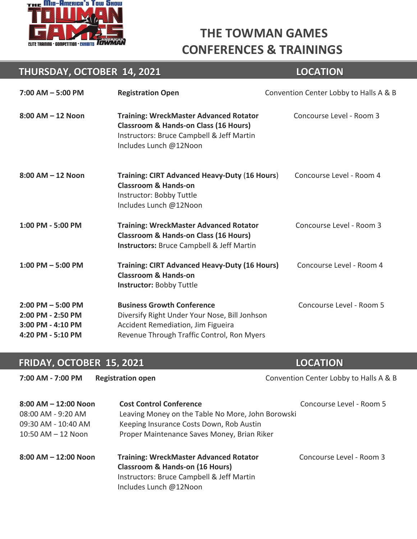

# **THE TOWMAN GAMES CONFERENCES & TRAININGS**

#### **THURSDAY, OCTOBER 14, 2021 LOCATION**

| $7:00$ AM $-5:00$ PM                                                                | <b>Registration Open</b>                                                                                                                                                 | Convention Center Lobby to Halls A & B |  |
|-------------------------------------------------------------------------------------|--------------------------------------------------------------------------------------------------------------------------------------------------------------------------|----------------------------------------|--|
| $8:00$ AM $-12$ Noon                                                                | <b>Training: WreckMaster Advanced Rotator</b><br><b>Classroom &amp; Hands-on Class (16 Hours)</b><br>Instructors: Bruce Campbell & Jeff Martin<br>Includes Lunch @12Noon | Concourse Level - Room 3               |  |
| $8:00$ AM $-12$ Noon                                                                | Training: CIRT Advanced Heavy-Duty (16 Hours)<br><b>Classroom &amp; Hands-on</b><br>Instructor: Bobby Tuttle<br>Includes Lunch @12Noon                                   | Concourse Level - Room 4               |  |
| 1:00 PM - 5:00 PM                                                                   | <b>Training: WreckMaster Advanced Rotator</b><br><b>Classroom &amp; Hands-on Class (16 Hours)</b><br><b>Instructors:</b> Bruce Campbell & Jeff Martin                    | Concourse Level - Room 3               |  |
| $1:00$ PM $-5:00$ PM                                                                | <b>Training: CIRT Advanced Heavy-Duty (16 Hours)</b><br><b>Classroom &amp; Hands-on</b><br><b>Instructor: Bobby Tuttle</b>                                               | Concourse Level - Room 4               |  |
| $2:00$ PM $-5:00$ PM<br>2:00 PM - 2:50 PM<br>3:00 PM - 4:10 PM<br>4:20 PM - 5:10 PM | <b>Business Growth Conference</b><br>Diversify Right Under Your Nose, Bill Jonhson<br>Accident Remediation, Jim Figueira<br>Revenue Through Traffic Control, Ron Myers   | Concourse Level - Room 5               |  |

#### **FRIDAY, OCTOBER 15, 2021 LOCATION FRIDAY, OCTOBER 15, 2021 LOCATION**

| 7:00 AM - 7:00 PM       | <b>Registration open</b>                                                                    | Convention Center Lobby to Halls A & B |
|-------------------------|---------------------------------------------------------------------------------------------|----------------------------------------|
| $8:00$ AM $-12:00$ Noon | <b>Cost Control Conference</b>                                                              | Concourse Level - Room 5               |
| $08:00$ AM - 9:20 AM    | Leaving Money on the Table No More, John Borowski                                           |                                        |
| 09:30 AM - 10:40 AM     | Keeping Insurance Costs Down, Rob Austin                                                    |                                        |
| $10:50$ AM $-12$ Noon   | Proper Maintenance Saves Money, Brian Riker                                                 |                                        |
| $8:00$ AM $-12:00$ Noon | <b>Training: WreckMaster Advanced Rotator</b><br><b>Classroom &amp; Hands-on (16 Hours)</b> | Concourse Level - Room 3               |
|                         | Instructors: Bruce Campbell & Jeff Martin                                                   |                                        |
|                         | Includes Lunch @12Noon                                                                      |                                        |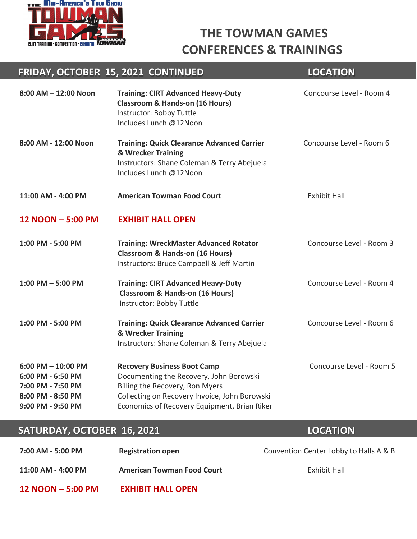

### **THE TOWMAN GAMES CONFERENCES & TRAININGS**

#### **8:00 AM – 12:00 Noon Training: CIRT Advanced Heavy-Duty Concourse Level - Room 4 Classroom & Hands-on (16 Hours)** Instructor: Bobby Tuttle Includes Lunch @12Noon 8:00 AM - 12:00 Noon Training: Quick Clearance Advanced Carrier **Concourse Level - Room 6 & Wrecker Training I**nstructors: Shane Coleman & Terry Abejuela Includes Lunch @12Noon **11:00 AM - 4:00 PM American Towman Food Court** Exhibit Hall **12 NOON – 5:00 PM EXHIBIT HALL OPEN 1:00 PM - 5:00 PM Training: WreckMaster Advanced Rotator Concourse Level - Room 3 Classroom & Hands-on (16 Hours)** Instructors: Bruce Campbell & Jeff Martin **1:00 PM – 5:00 PM Training: CIRT Advanced Heavy-Duty CONCOURGE CONCOURS ARE LEVEL - ROOM 4 Classroom & Hands-on (16 Hours)** Instructor: Bobby Tuttle **1:00 PM - 5:00 PM Training: Quick Clearance Advanced Carrier CONCOUTS CONCOUTS ARRIGHT 100 TRAINING & Wrecker Training I**nstructors: Shane Coleman & Terry Abejuela **6:00 PM – 10:00 PM Recovery Business Boot Camp CONCOURSE CONCOURSE Level - Room 5 6:00 PM - 6:50 PM** Documenting the Recovery, John Borowski **7:00 PM - 7:50 PM** Billing the Recovery, Ron Myers **8:00 PM - 8:50 PM** Collecting on Recovery Invoice, John Borowski **9:00 PM - 9:50 PM** Economics of Recovery Equipment, Brian Riker  **FRIDAY, OCTOBER 15, 2021 CONTINUED LOCATION**

#### **SATURDAY, OCTOBER 16, 2021 LOCATION**

# **7:00 AM - 5:00 PM Registration open** Convention Center Lobby to Halls A & B **11:00 AM - 4:00 PM American Towman Food Court** Exhibit Hall **12 NOON – 5:00 PM EXHIBIT HALL OPEN**